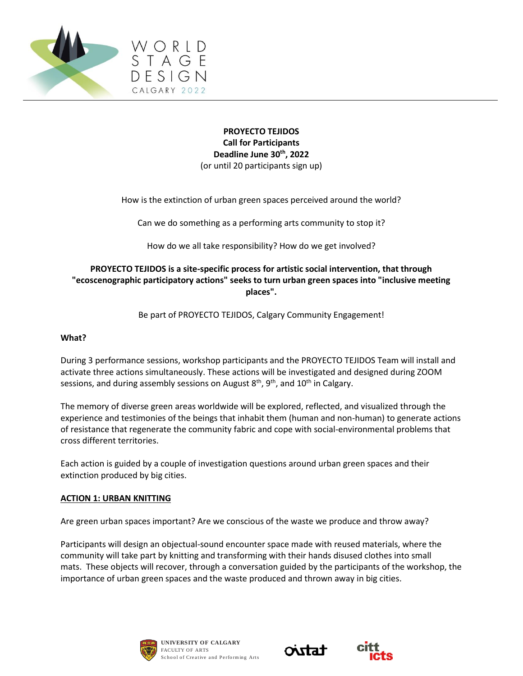

# **PROYECTO TEJIDOS Call for Participants Deadline June 30th, 2022** (or until 20 participants sign up)

How is the extinction of urban green spaces perceived around the world?

Can we do something as a performing arts community to stop it?

How do we all take responsibility? How do we get involved?

# **PROYECTO TEJIDOS is a site-specific process for artistic social intervention, that through "ecoscenographic participatory actions" seeks to turn urban green spaces into "inclusive meeting places".**

Be part of PROYECTO TEJIDOS, Calgary Community Engagement!

### **What?**

During 3 performance sessions, workshop participants and the PROYECTO TEJIDOS Team will install and activate three actions simultaneously. These actions will be investigated and designed during ZOOM sessions, and during assembly sessions on August  $8<sup>th</sup>$ ,  $9<sup>th</sup>$ , and  $10<sup>th</sup>$  in Calgary.

The memory of diverse green areas worldwide will be explored, reflected, and visualized through the experience and testimonies of the beings that inhabit them (human and non-human) to generate actions of resistance that regenerate the community fabric and cope with social-environmental problems that cross different territories.

Each action is guided by a couple of investigation questions around urban green spaces and their extinction produced by big cities.

#### **ACTION 1: URBAN KNITTING**

Are green urban spaces important? Are we conscious of the waste we produce and throw away?

Participants will design an objectual-sound encounter space made with reused materials, where the community will take part by knitting and transforming with their hands disused clothes into small mats. These objects will recover, through a conversation guided by the participants of the workshop, the importance of urban green spaces and the waste produced and thrown away in big cities.





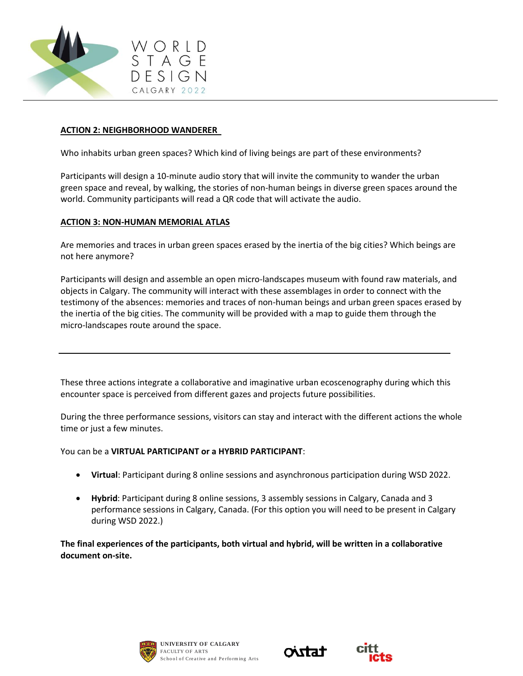

### **ACTION 2: NEIGHBORHOOD WANDERER**

Who inhabits urban green spaces? Which kind of living beings are part of these environments?

Participants will design a 10-minute audio story that will invite the community to wander the urban green space and reveal, by walking, the stories of non-human beings in diverse green spaces around the world. Community participants will read a QR code that will activate the audio.

### **ACTION 3: NON-HUMAN MEMORIAL ATLAS**

Are memories and traces in urban green spaces erased by the inertia of the big cities? Which beings are not here anymore?

Participants will design and assemble an open micro-landscapes museum with found raw materials, and objects in Calgary. The community will interact with these assemblages in order to connect with the testimony of the absences: memories and traces of non-human beings and urban green spaces erased by the inertia of the big cities. The community will be provided with a map to guide them through the micro-landscapes route around the space.

These three actions integrate a collaborative and imaginative urban ecoscenography during which this encounter space is perceived from different gazes and projects future possibilities.

During the three performance sessions, visitors can stay and interact with the different actions the whole time or just a few minutes.

You can be a **VIRTUAL PARTICIPANT or a HYBRID PARTICIPANT**:

- **Virtual**: Participant during 8 online sessions and asynchronous participation during WSD 2022.
- **Hybrid**: Participant during 8 online sessions, 3 assembly sessions in Calgary, Canada and 3 performance sessions in Calgary, Canada. (For this option you will need to be present in Calgary during WSD 2022.)

**The final experiences of the participants, both virtual and hybrid, will be written in a collaborative document on-site.**